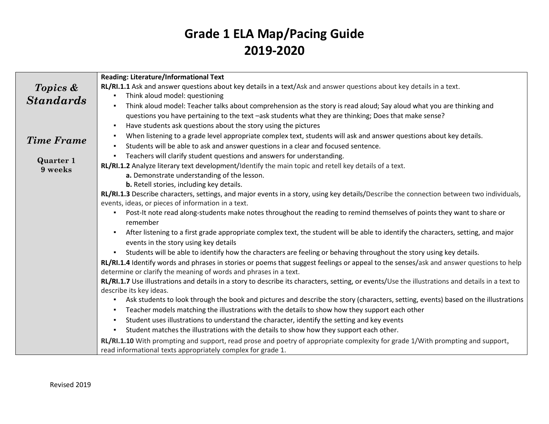|                   | Reading: Literature/Informational Text                                                                                                           |
|-------------------|--------------------------------------------------------------------------------------------------------------------------------------------------|
| Topics &          | RL/RI.1.1 Ask and answer questions about key details in a text/Ask and answer questions about key details in a text.                             |
| <b>Standards</b>  | Think aloud model: questioning<br>$\blacksquare$                                                                                                 |
|                   | Think aloud model: Teacher talks about comprehension as the story is read aloud; Say aloud what you are thinking and                             |
|                   | questions you have pertaining to the text -ask students what they are thinking; Does that make sense?                                            |
|                   | Have students ask questions about the story using the pictures                                                                                   |
| <b>Time Frame</b> | When listening to a grade level appropriate complex text, students will ask and answer questions about key details.                              |
|                   | Students will be able to ask and answer questions in a clear and focused sentence.                                                               |
| <b>Quarter 1</b>  | Teachers will clarify student questions and answers for understanding.<br>٠                                                                      |
| 9 weeks           | RL/RI.1.2 Analyze literary text development/Identify the main topic and retell key details of a text.                                            |
|                   | a. Demonstrate understanding of the lesson.                                                                                                      |
|                   | b. Retell stories, including key details.                                                                                                        |
|                   | RL/RI.1.3 Describe characters, settings, and major events in a story, using key details/Describe the connection between two individuals,         |
|                   | events, ideas, or pieces of information in a text.                                                                                               |
|                   | Post-It note read along-students make notes throughout the reading to remind themselves of points they want to share or<br>remember              |
|                   | After listening to a first grade appropriate complex text, the student will be able to identify the characters, setting, and major<br>٠          |
|                   | events in the story using key details                                                                                                            |
|                   | Students will be able to identify how the characters are feeling or behaving throughout the story using key details.<br>$\blacksquare$           |
|                   | RL/RI.1.4 Identify words and phrases in stories or poems that suggest feelings or appeal to the senses/ask and answer questions to help          |
|                   | determine or clarify the meaning of words and phrases in a text.                                                                                 |
|                   | RL/RI.1.7 Use illustrations and details in a story to describe its characters, setting, or events/Use the illustrations and details in a text to |
|                   | describe its key ideas.                                                                                                                          |
|                   | Ask students to look through the book and pictures and describe the story (characters, setting, events) based on the illustrations               |
|                   | Teacher models matching the illustrations with the details to show how they support each other                                                   |
|                   | Student uses illustrations to understand the character, identify the setting and key events                                                      |
|                   | Student matches the illustrations with the details to show how they support each other.                                                          |
|                   | RL/RI.1.10 With prompting and support, read prose and poetry of appropriate complexity for grade 1/With prompting and support,                   |
|                   | read informational texts appropriately complex for grade 1.                                                                                      |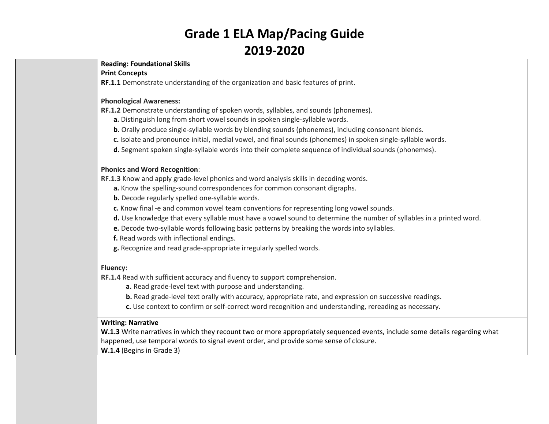### **Reading: Foundational Skills**

#### **Print Concepts**

**RF.1.1** Demonstrate understanding of the organization and basic features of print.

#### **Phonological Awareness:**

**RF.1.2** Demonstrate understanding of spoken words, syllables, and sounds (phonemes).

- **a.** Distinguish long from short vowel sounds in spoken single-syllable words.
- **b.** Orally produce single-syllable words by blending sounds (phonemes), including consonant blends.
- **C.** Isolate and pronounce initial, medial vowel, and final sounds (phonemes) in spoken single-syllable words.
- **d.** Segment spoken single-syllable words into their complete sequence of individual sounds (phonemes).

### **Phonics and Word Recognition**:

**[RF.1.3](http://www.corestandards.org/ELA-Literacy/RF/1/3/)** Know and apply grade-level phonics and word analysis skills in decoding words.

- **a.** Know the spelling-sound correspondences for common consonant digraphs.
- **b.** Decode regularly spelled one-syllable words.
- **c.** Know final -e and common vowel team conventions for representing long vowel sounds.
- **d.** Use knowledge that every syllable must have a vowel sound to determine the number of syllables in a printed word.
- **e.** Decode two-syllable words following basic patterns by breaking the words into syllables.
- **f.** Read words with inflectional endings.
- **g.** Recognize and read grade-appropriate irregularly spelled words.

### **Fluency:**

**[RF.1.4](http://www.corestandards.org/ELA-Literacy/RF/1/4/)** Read with sufficient accuracy and fluency to support comprehension.

- **a.** Read grade-level text with purpose and understanding.
- **b.** Read grade-level text orally with accuracy, appropriate rate, and expression on successive readings.
- **c.** Use context to confirm or self-correct word recognition and understanding, rereading as necessary.

### **Writing: Narrative**

**W.1.3** Write narratives in which they recount two or more appropriately sequenced events, include some details regarding what happened, use temporal words to signal event order, and provide some sense of closure.

**W.1.4** (Begins in Grade 3)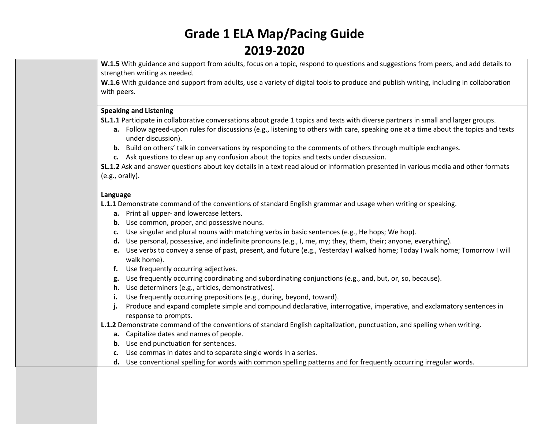**W.1.5** With guidance and support from adults, focus on a topic, respond to questions and suggestions from peers, and add details to strengthen writing as needed.

**W.1.6** With guidance and support from adults, use a variety of digital tools to produce and publish writing, including in collaboration with peers.

#### **Speaking and Listening**

**SL.1.1** Participate in collaborative conversations about grade 1 topics and texts with diverse partners in small and larger groups.

- **a.** Follow agreed-upon rules for discussions (e.g., listening to others with care, speaking one at a time about the topics and texts under discussion).
- **b.** Build on others' talk in conversations by responding to the comments of others through multiple exchanges.
- **c.** Ask questions to clear up any confusion about the topics and texts under discussion.

**SL.1.2** Ask and answer questions about key details in a text read aloud or information presented in various media and other formats (e.g., orally).

#### **Language**

**L.1.1** Demonstrate command of the conventions of standard English grammar and usage when writing or speaking.

- **a.** Print all upper- and lowercase letters.
- **b.** Use common, proper, and possessive nouns.
- **c.** Use singular and plural nouns with matching verbs in basic sentences (e.g., He hops; We hop).
- **d.** Use personal, possessive, and indefinite pronouns (e.g., I, me, my; they, them, their; anyone, everything).
- **e.** Use verbs to convey a sense of past, present, and future (e.g., Yesterday I walked home; Today I walk home; Tomorrow I will walk home).
- **f.** Use frequently occurring adjectives.
- **g.** Use frequently occurring coordinating and subordinating conjunctions (e.g., and, but, or, so, because).
- **h.** Use determiners (e.g., articles, demonstratives).
- **i.** Use frequently occurring prepositions (e.g., during, beyond, toward).
- **j.** Produce and expand complete simple and compound declarative, interrogative, imperative, and exclamatory sentences in response to prompts.

**L.1.2** Demonstrate command of the conventions of standard English capitalization, punctuation, and spelling when writing.

- **a.** Capitalize dates and names of people.
- **b.** Use end punctuation for sentences.
- **c.** Use commas in dates and to separate single words in a series.
- **d.** Use conventional spelling for words with common spelling patterns and for frequently occurring irregular words.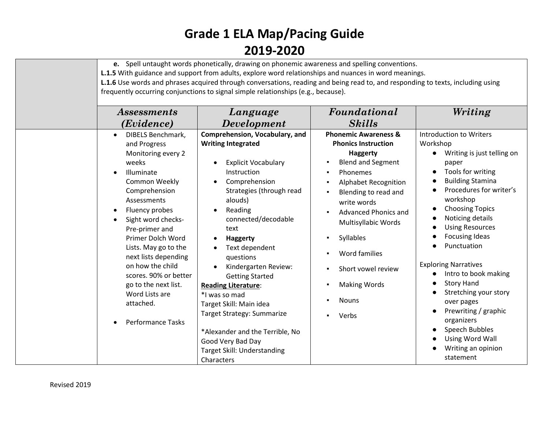| Assessments                                                                                                                                                                                                                                                                                                                                                                                           | e. Spell untaught words phonetically, drawing on phonemic awareness and spelling conventions.<br>L.1.5 With guidance and support from adults, explore word relationships and nuances in word meanings.<br>L.1.6 Use words and phrases acquired through conversations, reading and being read to, and responding to texts, including using<br>frequently occurring conjunctions to signal simple relationships (e.g., because).<br>Language                                                                                                      | Foundational                                                                                                                                                                                                                                                                                                                                           | Writing                                                                                                                                                                                                                                                                                                                                                                                                                                                                                                                   |
|-------------------------------------------------------------------------------------------------------------------------------------------------------------------------------------------------------------------------------------------------------------------------------------------------------------------------------------------------------------------------------------------------------|-------------------------------------------------------------------------------------------------------------------------------------------------------------------------------------------------------------------------------------------------------------------------------------------------------------------------------------------------------------------------------------------------------------------------------------------------------------------------------------------------------------------------------------------------|--------------------------------------------------------------------------------------------------------------------------------------------------------------------------------------------------------------------------------------------------------------------------------------------------------------------------------------------------------|---------------------------------------------------------------------------------------------------------------------------------------------------------------------------------------------------------------------------------------------------------------------------------------------------------------------------------------------------------------------------------------------------------------------------------------------------------------------------------------------------------------------------|
| (Evidence)                                                                                                                                                                                                                                                                                                                                                                                            | <b>Development</b>                                                                                                                                                                                                                                                                                                                                                                                                                                                                                                                              | <b>Skills</b>                                                                                                                                                                                                                                                                                                                                          |                                                                                                                                                                                                                                                                                                                                                                                                                                                                                                                           |
| <b>DIBELS Benchmark,</b><br>and Progress<br>Monitoring every 2<br>weeks<br>Illuminate<br>Common Weekly<br>Comprehension<br>Assessments<br>Fluency probes<br>Sight word checks-<br>Pre-primer and<br>Primer Dolch Word<br>Lists. May go to the<br>next lists depending<br>on how the child<br>scores. 90% or better<br>go to the next list.<br>Word Lists are<br>attached.<br><b>Performance Tasks</b> | Comprehension, Vocabulary, and<br><b>Writing Integrated</b><br><b>Explicit Vocabulary</b><br>Instruction<br>Comprehension<br>Strategies (through read<br>alouds)<br>Reading<br>$\bullet$<br>connected/decodable<br>text<br><b>Haggerty</b><br>Text dependent<br>questions<br>Kindergarten Review:<br><b>Getting Started</b><br><b>Reading Literature:</b><br>*I was so mad<br>Target Skill: Main idea<br>Target Strategy: Summarize<br>*Alexander and the Terrible, No<br>Good Very Bad Day<br><b>Target Skill: Understanding</b><br>Characters | <b>Phonemic Awareness &amp;</b><br><b>Phonics Instruction</b><br><b>Haggerty</b><br><b>Blend and Segment</b><br>Phonemes<br><b>Alphabet Recognition</b><br>Blending to read and<br>write words<br>Advanced Phonics and<br>Multisyllabic Words<br>Syllables<br>Word families<br>Short vowel review<br><b>Making Words</b><br><b>Nouns</b><br>Verbs<br>٠ | <b>Introduction to Writers</b><br>Workshop<br>Writing is just telling on<br>paper<br>Tools for writing<br><b>Building Stamina</b><br>Procedures for writer's<br>workshop<br><b>Choosing Topics</b><br>Noticing details<br><b>Using Resources</b><br><b>Focusing Ideas</b><br>Punctuation<br><b>Exploring Narratives</b><br>Intro to book making<br><b>Story Hand</b><br>Stretching your story<br>over pages<br>Prewriting / graphic<br>organizers<br>Speech Bubbles<br>Using Word Wall<br>Writing an opinion<br>statement |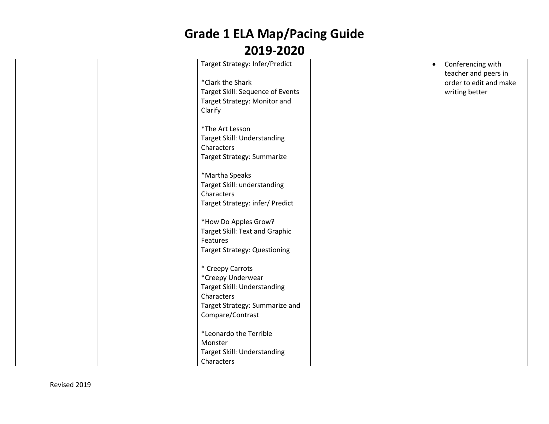| Target Strategy: Infer/Predict      | Conferencing with<br>$\bullet$ |
|-------------------------------------|--------------------------------|
|                                     | teacher and peers in           |
| *Clark the Shark                    | order to edit and make         |
| Target Skill: Sequence of Events    | writing better                 |
| Target Strategy: Monitor and        |                                |
| Clarify                             |                                |
|                                     |                                |
| *The Art Lesson                     |                                |
| Target Skill: Understanding         |                                |
| Characters                          |                                |
| Target Strategy: Summarize          |                                |
|                                     |                                |
| *Martha Speaks                      |                                |
| Target Skill: understanding         |                                |
| Characters                          |                                |
| Target Strategy: infer/ Predict     |                                |
|                                     |                                |
| *How Do Apples Grow?                |                                |
| Target Skill: Text and Graphic      |                                |
| Features                            |                                |
| <b>Target Strategy: Questioning</b> |                                |
|                                     |                                |
| * Creepy Carrots                    |                                |
| *Creepy Underwear                   |                                |
| Target Skill: Understanding         |                                |
| Characters                          |                                |
| Target Strategy: Summarize and      |                                |
| Compare/Contrast                    |                                |
|                                     |                                |
| *Leonardo the Terrible              |                                |
| Monster                             |                                |
| Target Skill: Understanding         |                                |
| Characters                          |                                |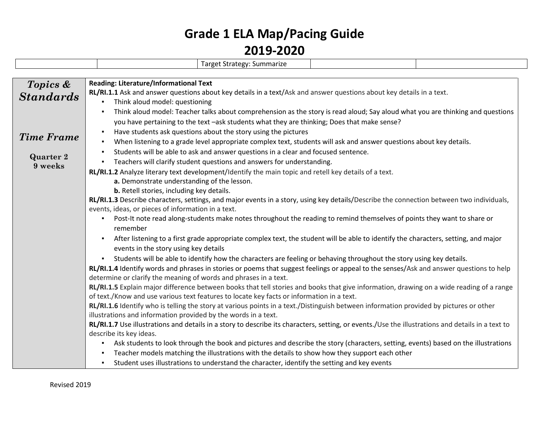|                             | Target Strategy: Summarize                                                                                                                        |  |  |  |
|-----------------------------|---------------------------------------------------------------------------------------------------------------------------------------------------|--|--|--|
|                             |                                                                                                                                                   |  |  |  |
| Topics &                    | <b>Reading: Literature/Informational Text</b>                                                                                                     |  |  |  |
| <b>Standards</b>            | RL/RI.1.1 Ask and answer questions about key details in a text/Ask and answer questions about key details in a text.                              |  |  |  |
|                             | Think aloud model: questioning<br>٠                                                                                                               |  |  |  |
|                             | Think aloud model: Teacher talks about comprehension as the story is read aloud; Say aloud what you are thinking and questions                    |  |  |  |
|                             | you have pertaining to the text -ask students what they are thinking; Does that make sense?                                                       |  |  |  |
| <b>Time Frame</b>           | Have students ask questions about the story using the pictures                                                                                    |  |  |  |
|                             | When listening to a grade level appropriate complex text, students will ask and answer questions about key details.                               |  |  |  |
|                             | Students will be able to ask and answer questions in a clear and focused sentence.                                                                |  |  |  |
| <b>Quarter 2</b><br>9 weeks | Teachers will clarify student questions and answers for understanding.<br>٠.                                                                      |  |  |  |
|                             | RL/RI.1.2 Analyze literary text development/Identify the main topic and retell key details of a text.                                             |  |  |  |
|                             | a. Demonstrate understanding of the lesson.                                                                                                       |  |  |  |
|                             | b. Retell stories, including key details.                                                                                                         |  |  |  |
|                             | RL/RI.1.3 Describe characters, settings, and major events in a story, using key details/Describe the connection between two individuals,          |  |  |  |
|                             | events, ideas, or pieces of information in a text.                                                                                                |  |  |  |
|                             | Post-It note read along-students make notes throughout the reading to remind themselves of points they want to share or                           |  |  |  |
|                             | remember                                                                                                                                          |  |  |  |
|                             | After listening to a first grade appropriate complex text, the student will be able to identify the characters, setting, and major                |  |  |  |
|                             | events in the story using key details                                                                                                             |  |  |  |
|                             | Students will be able to identify how the characters are feeling or behaving throughout the story using key details.<br>$\blacksquare$            |  |  |  |
|                             | RL/RI.1.4 Identify words and phrases in stories or poems that suggest feelings or appeal to the senses/Ask and answer questions to help           |  |  |  |
|                             | determine or clarify the meaning of words and phrases in a text.                                                                                  |  |  |  |
|                             | RL/RI.1.5 Explain major difference between books that tell stories and books that give information, drawing on a wide reading of a range          |  |  |  |
|                             | of text./Know and use various text features to locate key facts or information in a text.                                                         |  |  |  |
|                             | RL/RI.1.6 Identify who is telling the story at various points in a text./Distinguish between information provided by pictures or other            |  |  |  |
|                             | illustrations and information provided by the words in a text.                                                                                    |  |  |  |
|                             | RL/RI.1.7 Use illustrations and details in a story to describe its characters, setting, or events./Use the illustrations and details in a text to |  |  |  |
|                             | describe its key ideas.                                                                                                                           |  |  |  |
|                             | Ask students to look through the book and pictures and describe the story (characters, setting, events) based on the illustrations                |  |  |  |
|                             | Teacher models matching the illustrations with the details to show how they support each other                                                    |  |  |  |
|                             | Student uses illustrations to understand the character, identify the setting and key events                                                       |  |  |  |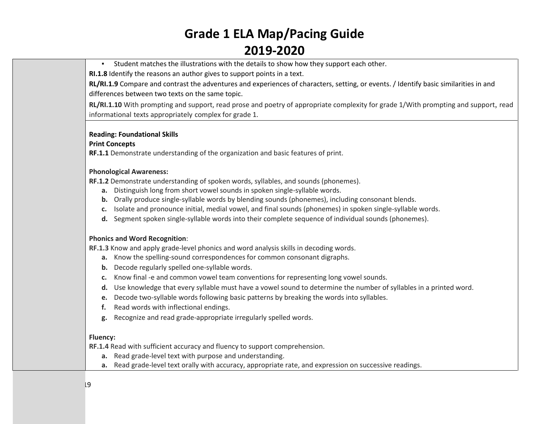▪ Student matches the illustrations with the details to show how they support each other.

**RI.1.8** Identify the reasons an author gives to support points in a text.

**RL/RI.1.9** Compare and contrast the adventures and experiences of characters, setting, or events. / Identify basic similarities in and differences between two texts on the same topic.

**RL/RI.1.10** With prompting and support, read prose and poetry of appropriate complexity for grade 1/With prompting and support, read informational texts appropriately complex for grade 1.

#### **Reading: Foundational Skills**

#### **Print Concepts**

**RF.1.1** Demonstrate understanding of the organization and basic features of print.

#### **Phonological Awareness:**

**RF.1.2** Demonstrate understanding of spoken words, syllables, and sounds (phonemes).

- **a.** Distinguish long from short vowel sounds in spoken single-syllable words.
- **b.** Orally produce single-syllable words by blending sounds (phonemes), including consonant blends.
- **c.** Isolate and pronounce initial, medial vowel, and final sounds (phonemes) in spoken single-syllable words.
- **d.** Segment spoken single-syllable words into their complete sequence of individual sounds (phonemes).

#### **Phonics and Word Recognition**:

**[RF.1.3](http://www.corestandards.org/ELA-Literacy/RF/1/3/)** Know and apply grade-level phonics and word analysis skills in decoding words.

- **a.** Know the spelling-sound correspondences for common consonant digraphs.
- **b.** Decode regularly spelled one-syllable words.
- **c.** Know final -e and common vowel team conventions for representing long vowel sounds.
- **d.** Use knowledge that every syllable must have a vowel sound to determine the number of syllables in a printed word.
- **e.** Decode two-syllable words following basic patterns by breaking the words into syllables.
- **f.** Read words with inflectional endings.
- **g.** Recognize and read grade-appropriate irregularly spelled words.

#### **Fluency:**

**[RF.1.4](http://www.corestandards.org/ELA-Literacy/RF/1/4/)** Read with sufficient accuracy and fluency to support comprehension.

- **a.** Read grade-level text with purpose and understanding.
- **a.** Read grade-level text orally with accuracy, appropriate rate, and expression on successive readings.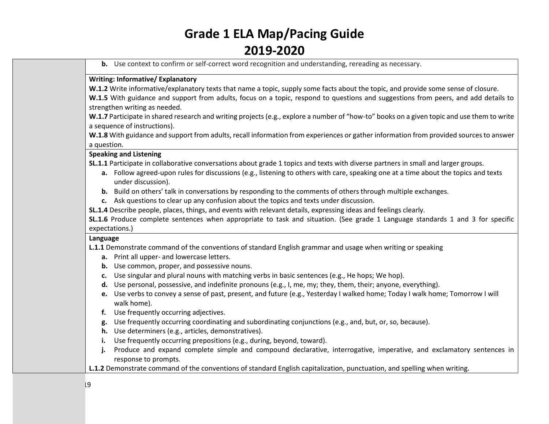**b.** Use context to confirm or self-correct word recognition and understanding, rereading as necessary.

### **Writing: Informative/ Explanatory**

**W.1.2** Write informative/explanatory texts that name a topic, supply some facts about the topic, and provide some sense of closure. W.1.5 With guidance and support from adults, focus on a topic, respond to questions and suggestions from peers, and add details to strengthen writing as needed.

**W.1.7** Participate in shared research and writing projects (e.g., explore a number of "how-to" books on a given topic and use them to write a sequence of instructions).

**W.1.8** With guidance and support from adults, recall information from experiences or gather information from provided sources to answer a question.

#### **Speaking and Listening**

**SL.1.1** Participate in collaborative conversations about grade 1 topics and texts with diverse partners in small and larger groups.

- **a.** Follow agreed-upon rules for discussions (e.g., listening to others with care, speaking one at a time about the topics and texts under discussion).
- **b.** Build on others' talk in conversations by responding to the comments of others through multiple exchanges.
- **c.** Ask questions to clear up any confusion about the topics and texts under discussion.
- **SL.1.4** Describe people, places, things, and events with relevant details, expressing ideas and feelings clearly.

**SL.1.6** Produce complete sentences when appropriate to task and situation. (See grade 1 Language standards 1 and 3 for specific expectations.)

#### **Language**

**L.1.1** Demonstrate command of the conventions of standard English grammar and usage when writing or speaking

- **a.** Print all upper- and lowercase letters.
- **b.** Use common, proper, and possessive nouns.
- **c.** Use singular and plural nouns with matching verbs in basic sentences (e.g., He hops; We hop).
- **d.** Use personal, possessive, and indefinite pronouns (e.g., I, me, my; they, them, their; anyone, everything).
- **e.** Use verbs to convey a sense of past, present, and future (e.g., Yesterday I walked home; Today I walk home; Tomorrow I will walk home).
- **f.** Use frequently occurring adjectives.
- **g.** Use frequently occurring coordinating and subordinating conjunctions (e.g., and, but, or, so, because).
- **h.** Use determiners (e.g., articles, demonstratives).
- **i.** Use frequently occurring prepositions (e.g., during, beyond, toward).
- **j.** Produce and expand complete simple and compound declarative, interrogative, imperative, and exclamatory sentences in response to prompts.
- **L.1.2** Demonstrate command of the conventions of standard English capitalization, punctuation, and spelling when writing.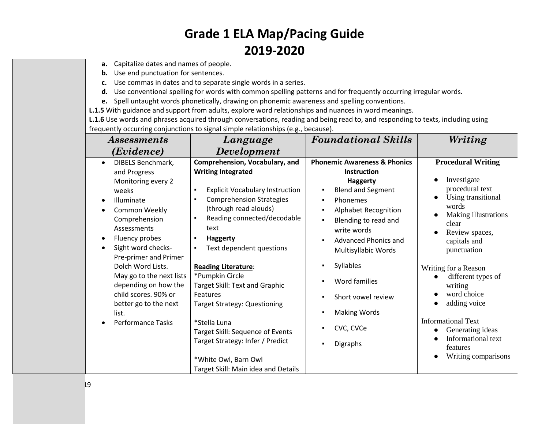- **a.** Capitalize dates and names of people.
- **b.** Use end punctuation for sentences.
- **c.** Use commas in dates and to separate single words in a series.
- **d.** Use conventional spelling for words with common spelling patterns and for frequently occurring irregular words.
- **e.** Spell untaught words phonetically, drawing on phonemic awareness and spelling conventions.
- **L.1.5** With guidance and support from adults, explore word relationships and nuances in word meanings.

**L.1.6** Use words and phrases acquired through conversations, reading and being read to, and responding to texts, including using frequently occurring conjunctions to signal simple relationships (e.g., because).

| <i>Assessments</i>             | rrequently occurring conjunctions to signal simple relationships (e.g., because).<br>Language | <b>Foundational Skills</b>              | Writing                         |
|--------------------------------|-----------------------------------------------------------------------------------------------|-----------------------------------------|---------------------------------|
| (Evidence)                     | <b>Development</b>                                                                            |                                         |                                 |
| DIBELS Benchmark,<br>$\bullet$ | Comprehension, Vocabulary, and                                                                | <b>Phonemic Awareness &amp; Phonics</b> | <b>Procedural Writing</b>       |
| and Progress                   | <b>Writing Integrated</b>                                                                     | Instruction                             |                                 |
| Monitoring every 2             |                                                                                               | <b>Haggerty</b>                         | Investigate                     |
| weeks                          | <b>Explicit Vocabulary Instruction</b>                                                        | <b>Blend and Segment</b>                | procedural text                 |
| Illuminate                     | <b>Comprehension Strategies</b>                                                               | Phonemes                                | Using transitional<br>$\bullet$ |
| Common Weekly                  | (through read alouds)                                                                         | Alphabet Recognition                    | words                           |
| Comprehension                  | Reading connected/decodable                                                                   | Blending to read and                    | Making illustrations<br>clear   |
| Assessments                    | text                                                                                          | write words                             | Review spaces,                  |
| Fluency probes                 | <b>Haggerty</b>                                                                               | <b>Advanced Phonics and</b>             | capitals and                    |
| Sight word checks-             | Text dependent questions                                                                      | Multisyllabic Words                     | punctuation                     |
| Pre-primer and Primer          |                                                                                               |                                         |                                 |
| Dolch Word Lists.              | <b>Reading Literature:</b>                                                                    | <b>Syllables</b>                        | Writing for a Reason            |
| May go to the next lists       | *Pumpkin Circle                                                                               |                                         | different types of              |
| depending on how the           | Target Skill: Text and Graphic                                                                | Word families                           | writing                         |
| child scores. 90% or           | Features                                                                                      | Short vowel review                      | word choice                     |
| better go to the next          | <b>Target Strategy: Questioning</b>                                                           |                                         | adding voice                    |
| list.                          |                                                                                               | <b>Making Words</b>                     |                                 |
| <b>Performance Tasks</b>       | *Stella Luna                                                                                  | CVC, CVCe                               | <b>Informational Text</b>       |
|                                | Target Skill: Sequence of Events                                                              |                                         | Generating ideas                |
|                                | Target Strategy: Infer / Predict                                                              | Digraphs                                | Informational text<br>features  |
|                                |                                                                                               |                                         | Writing comparisons             |
|                                | *White Owl, Barn Owl                                                                          |                                         |                                 |
|                                | Target Skill: Main idea and Details                                                           |                                         |                                 |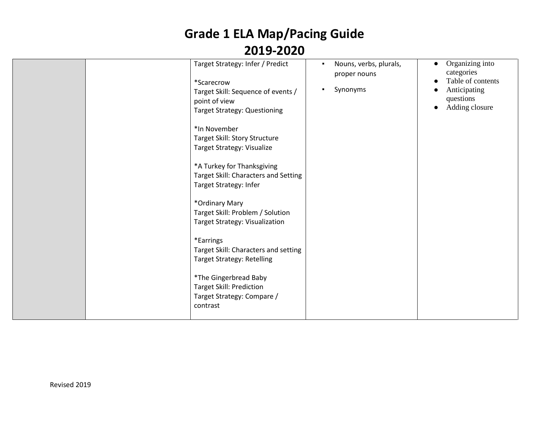| Target Strategy: Infer / Predict<br>*Scarecrow<br>Target Skill: Sequence of events /<br>point of view<br><b>Target Strategy: Questioning</b><br>*In November<br>Target Skill: Story Structure<br>Target Strategy: Visualize<br>*A Turkey for Thanksgiving<br>Target Skill: Characters and Setting<br>Target Strategy: Infer<br>*Ordinary Mary<br>Target Skill: Problem / Solution<br>Target Strategy: Visualization<br>*Earrings<br>Target Skill: Characters and setting<br><b>Target Strategy: Retelling</b><br>*The Gingerbread Baby<br><b>Target Skill: Prediction</b><br>Target Strategy: Compare /<br>contrast | Nouns, verbs, plurals,<br>proper nouns<br>Synonyms | Organizing into<br>$\bullet$<br>categories<br>Table of contents<br>Anticipating<br>questions<br>Adding closure |
|---------------------------------------------------------------------------------------------------------------------------------------------------------------------------------------------------------------------------------------------------------------------------------------------------------------------------------------------------------------------------------------------------------------------------------------------------------------------------------------------------------------------------------------------------------------------------------------------------------------------|----------------------------------------------------|----------------------------------------------------------------------------------------------------------------|
|---------------------------------------------------------------------------------------------------------------------------------------------------------------------------------------------------------------------------------------------------------------------------------------------------------------------------------------------------------------------------------------------------------------------------------------------------------------------------------------------------------------------------------------------------------------------------------------------------------------------|----------------------------------------------------|----------------------------------------------------------------------------------------------------------------|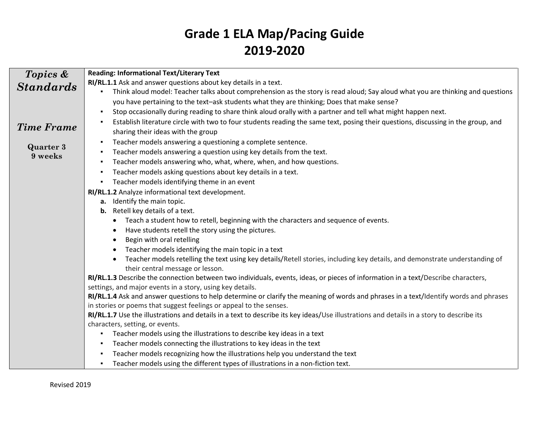| Topics &                    | <b>Reading: Informational Text/Literary Text</b>                                                                                                 |  |  |  |
|-----------------------------|--------------------------------------------------------------------------------------------------------------------------------------------------|--|--|--|
| <b>Standards</b>            | RI/RL.1.1 Ask and answer questions about key details in a text.                                                                                  |  |  |  |
|                             | Think aloud model: Teacher talks about comprehension as the story is read aloud; Say aloud what you are thinking and questions<br>$\blacksquare$ |  |  |  |
|                             | you have pertaining to the text-ask students what they are thinking; Does that make sense?                                                       |  |  |  |
|                             | Stop occasionally during reading to share think aloud orally with a partner and tell what might happen next.<br>٠                                |  |  |  |
|                             | Establish literature circle with two to four students reading the same text, posing their questions, discussing in the group, and                |  |  |  |
| <b>Time Frame</b>           | sharing their ideas with the group                                                                                                               |  |  |  |
|                             | Teacher models answering a questioning a complete sentence.<br>٠                                                                                 |  |  |  |
| <b>Quarter 3</b><br>9 weeks | Teacher models answering a question using key details from the text.<br>٠                                                                        |  |  |  |
|                             | Teacher models answering who, what, where, when, and how questions.<br>٠                                                                         |  |  |  |
|                             | Teacher models asking questions about key details in a text.<br>٠                                                                                |  |  |  |
|                             | Teacher models identifying theme in an event<br>٠                                                                                                |  |  |  |
|                             | RI/RL.1.2 Analyze informational text development.                                                                                                |  |  |  |
|                             | a. Identify the main topic.                                                                                                                      |  |  |  |
|                             | <b>b.</b> Retell key details of a text.                                                                                                          |  |  |  |
|                             | Teach a student how to retell, beginning with the characters and sequence of events.<br>$\bullet$                                                |  |  |  |
|                             | Have students retell the story using the pictures.                                                                                               |  |  |  |
|                             | Begin with oral retelling                                                                                                                        |  |  |  |
|                             | Teacher models identifying the main topic in a text                                                                                              |  |  |  |
|                             | Teacher models retelling the text using key details/Retell stories, including key details, and demonstrate understanding of                      |  |  |  |
|                             | their central message or lesson.                                                                                                                 |  |  |  |
|                             | RI/RL.1.3 Describe the connection between two individuals, events, ideas, or pieces of information in a text/Describe characters,                |  |  |  |
|                             | settings, and major events in a story, using key details.                                                                                        |  |  |  |
|                             | RI/RL.1.4 Ask and answer questions to help determine or clarify the meaning of words and phrases in a text/Identify words and phrases            |  |  |  |
|                             | in stories or poems that suggest feelings or appeal to the senses.                                                                               |  |  |  |
|                             | RI/RL.1.7 Use the illustrations and details in a text to describe its key ideas/Use illustrations and details in a story to describe its         |  |  |  |
|                             | characters, setting, or events.                                                                                                                  |  |  |  |
|                             | Teacher models using the illustrations to describe key ideas in a text<br>٠                                                                      |  |  |  |
|                             | Teacher models connecting the illustrations to key ideas in the text<br>٠                                                                        |  |  |  |
|                             | Teacher models recognizing how the illustrations help you understand the text<br>٠                                                               |  |  |  |
|                             | Teacher models using the different types of illustrations in a non-fiction text.<br>$\blacksquare$                                               |  |  |  |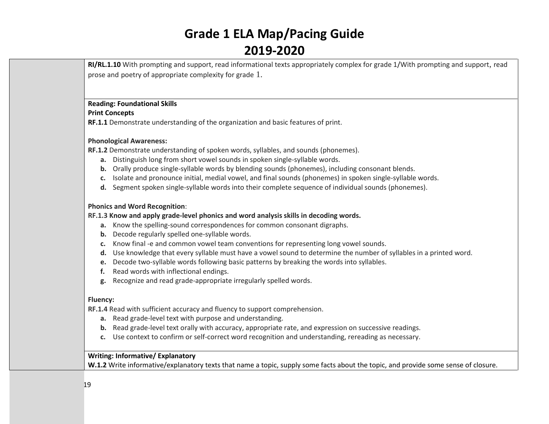**RI/RL.1.10** With prompting and support, read informational texts appropriately complex for grade 1/With prompting and support, read prose and poetry of appropriate complexity for grade 1.

### **Reading: Foundational Skills**

### **Print Concepts**

**RF.1.1** Demonstrate understanding of the organization and basic features of print.

### **Phonological Awareness:**

**RF.1.2** Demonstrate understanding of spoken words, syllables, and sounds (phonemes).

- **a.** Distinguish long from short vowel sounds in spoken single-syllable words.
- **b.** Orally produce single-syllable words by blending sounds (phonemes), including consonant blends.
- **c.** Isolate and pronounce initial, medial vowel, and final sounds (phonemes) in spoken single-syllable words.
- **d.** Segment spoken single-syllable words into their complete sequence of individual sounds (phonemes).

### **Phonics and Word Recognition**:

### **[RF.1.3](http://www.corestandards.org/ELA-Literacy/RF/1/3/) Know and apply grade-level phonics and word analysis skills in decoding words.**

- **a.** Know the spelling-sound correspondences for common consonant digraphs.
- **b.** Decode regularly spelled one-syllable words.
- **c.** Know final -e and common vowel team conventions for representing long vowel sounds.
- **d.** Use knowledge that every syllable must have a vowel sound to determine the number of syllables in a printed word.
- **e.** Decode two-syllable words following basic patterns by breaking the words into syllables.
- **f.** Read words with inflectional endings.
- **g.** Recognize and read grade-appropriate irregularly spelled words.

### **Fluency:**

**[RF.1.4](http://www.corestandards.org/ELA-Literacy/RF/1/4/)** Read with sufficient accuracy and fluency to support comprehension.

- **a.** Read grade-level text with purpose and understanding.
- **b.** Read grade-level text orally with accuracy, appropriate rate, and expression on successive readings.
- **c.** Use context to confirm or self-correct word recognition and understanding, rereading as necessary.

### **Writing: Informative/ Explanatory**

**W.1.2** Write informative/explanatory texts that name a topic, supply some facts about the topic, and provide some sense of closure.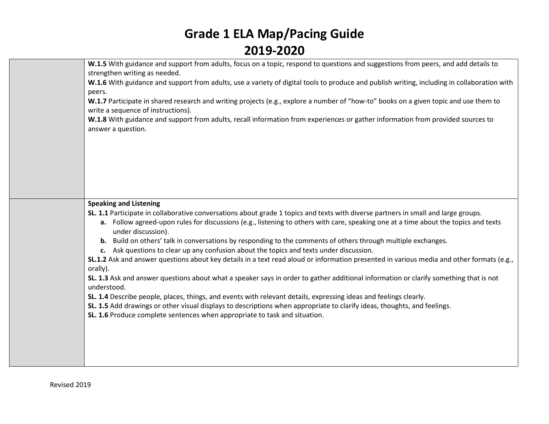| W.1.5 With guidance and support from adults, focus on a topic, respond to questions and suggestions from peers, and add details to<br>strengthen writing as needed.        |
|----------------------------------------------------------------------------------------------------------------------------------------------------------------------------|
| W.1.6 With guidance and support from adults, use a variety of digital tools to produce and publish writing, including in collaboration with<br>peers.                      |
| W.1.7 Participate in shared research and writing projects (e.g., explore a number of "how-to" books on a given topic and use them to<br>write a sequence of instructions). |
| W.1.8 With guidance and support from adults, recall information from experiences or gather information from provided sources to<br>answer a question.                      |
|                                                                                                                                                                            |
|                                                                                                                                                                            |
|                                                                                                                                                                            |
| <b>Speaking and Listening</b>                                                                                                                                              |
| SL. 1.1 Participate in collaborative conversations about grade 1 topics and texts with diverse partners in small and large groups.                                         |
| a. Follow agreed-upon rules for discussions (e.g., listening to others with care, speaking one at a time about the topics and texts<br>under discussion).                  |
| b. Build on others' talk in conversations by responding to the comments of others through multiple exchanges.                                                              |
| c. Ask questions to clear up any confusion about the topics and texts under discussion.                                                                                    |
| SL.1.2 Ask and answer questions about key details in a text read aloud or information presented in various media and other formats (e.g.,<br>orally).                      |
| SL. 1.3 Ask and answer questions about what a speaker says in order to gather additional information or clarify something that is not<br>understood.                       |
| SL. 1.4 Describe people, places, things, and events with relevant details, expressing ideas and feelings clearly.                                                          |
| SL. 1.5 Add drawings or other visual displays to descriptions when appropriate to clarify ideas, thoughts, and feelings.                                                   |
| SL. 1.6 Produce complete sentences when appropriate to task and situation.                                                                                                 |
|                                                                                                                                                                            |
|                                                                                                                                                                            |
|                                                                                                                                                                            |
|                                                                                                                                                                            |
|                                                                                                                                                                            |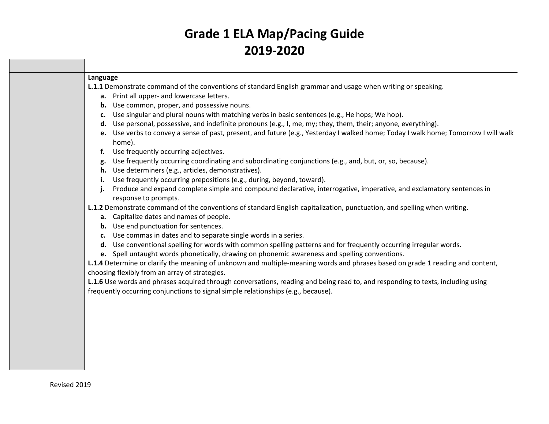| Language                                                                                                                                                                         |
|----------------------------------------------------------------------------------------------------------------------------------------------------------------------------------|
| L.1.1 Demonstrate command of the conventions of standard English grammar and usage when writing or speaking.                                                                     |
| a. Print all upper- and lowercase letters.                                                                                                                                       |
| <b>b.</b> Use common, proper, and possessive nouns.                                                                                                                              |
| c. Use singular and plural nouns with matching verbs in basic sentences (e.g., He hops; We hop).                                                                                 |
| d. Use personal, possessive, and indefinite pronouns (e.g., I, me, my; they, them, their; anyone, everything).                                                                   |
| e. Use verbs to convey a sense of past, present, and future (e.g., Yesterday I walked home; Today I walk home; Tomorrow I will walk                                              |
| home).                                                                                                                                                                           |
| f. Use frequently occurring adjectives.                                                                                                                                          |
| g. Use frequently occurring coordinating and subordinating conjunctions (e.g., and, but, or, so, because).                                                                       |
| h. Use determiners (e.g., articles, demonstratives).                                                                                                                             |
| Use frequently occurring prepositions (e.g., during, beyond, toward).                                                                                                            |
| Produce and expand complete simple and compound declarative, interrogative, imperative, and exclamatory sentences in<br>j.                                                       |
| response to prompts.                                                                                                                                                             |
| L.1.2 Demonstrate command of the conventions of standard English capitalization, punctuation, and spelling when writing.                                                         |
| a. Capitalize dates and names of people.                                                                                                                                         |
| <b>b.</b> Use end punctuation for sentences.                                                                                                                                     |
| c. Use commas in dates and to separate single words in a series.                                                                                                                 |
| d. Use conventional spelling for words with common spelling patterns and for frequently occurring irregular words.                                                               |
| e. Spell untaught words phonetically, drawing on phonemic awareness and spelling conventions.                                                                                    |
| L.1.4 Determine or clarify the meaning of unknown and multiple-meaning words and phrases based on grade 1 reading and content,<br>choosing flexibly from an array of strategies. |
| L.1.6 Use words and phrases acquired through conversations, reading and being read to, and responding to texts, including using                                                  |
| frequently occurring conjunctions to signal simple relationships (e.g., because).                                                                                                |
|                                                                                                                                                                                  |
|                                                                                                                                                                                  |
|                                                                                                                                                                                  |
|                                                                                                                                                                                  |
|                                                                                                                                                                                  |
|                                                                                                                                                                                  |
|                                                                                                                                                                                  |
|                                                                                                                                                                                  |
|                                                                                                                                                                                  |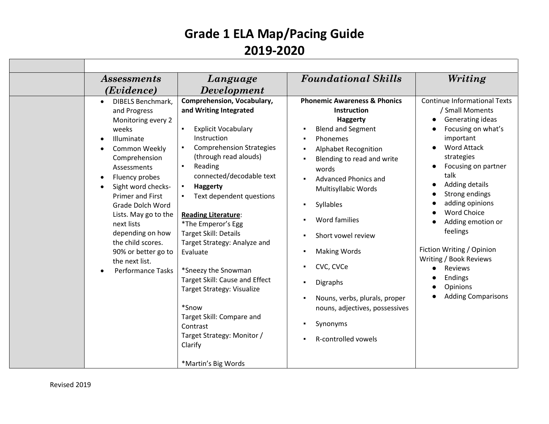| Assessments                                                                                                                                                                                                                                                                                                                                                                                                              | Language                                                                                                                                                                                                                                                                                                                                                                                                                                                                                                                                                                                                              | <b>Foundational Skills</b>                                                                                                                                                                                                                                                                                                                                                                                                                | Writing                                                                                                                                                                                                                                                                                                                                                                                                              |
|--------------------------------------------------------------------------------------------------------------------------------------------------------------------------------------------------------------------------------------------------------------------------------------------------------------------------------------------------------------------------------------------------------------------------|-----------------------------------------------------------------------------------------------------------------------------------------------------------------------------------------------------------------------------------------------------------------------------------------------------------------------------------------------------------------------------------------------------------------------------------------------------------------------------------------------------------------------------------------------------------------------------------------------------------------------|-------------------------------------------------------------------------------------------------------------------------------------------------------------------------------------------------------------------------------------------------------------------------------------------------------------------------------------------------------------------------------------------------------------------------------------------|----------------------------------------------------------------------------------------------------------------------------------------------------------------------------------------------------------------------------------------------------------------------------------------------------------------------------------------------------------------------------------------------------------------------|
| (Evidence)                                                                                                                                                                                                                                                                                                                                                                                                               | <b>Development</b>                                                                                                                                                                                                                                                                                                                                                                                                                                                                                                                                                                                                    |                                                                                                                                                                                                                                                                                                                                                                                                                                           |                                                                                                                                                                                                                                                                                                                                                                                                                      |
| <b>DIBELS Benchmark,</b><br>$\bullet$<br>and Progress<br>Monitoring every 2<br>weeks<br>Illuminate<br>$\bullet$<br>Common Weekly<br>Comprehension<br>Assessments<br>Fluency probes<br>$\bullet$<br>Sight word checks-<br><b>Primer and First</b><br>Grade Dolch Word<br>Lists. May go to the<br>next lists<br>depending on how<br>the child scores.<br>90% or better go to<br>the next list.<br><b>Performance Tasks</b> | <b>Comprehension, Vocabulary,</b><br>and Writing Integrated<br><b>Explicit Vocabulary</b><br>Instruction<br><b>Comprehension Strategies</b><br>(through read alouds)<br>Reading<br>connected/decodable text<br><b>Haggerty</b><br>$\blacksquare$<br>Text dependent questions<br><b>Reading Literature:</b><br>*The Emperor's Egg<br>Target Skill: Details<br>Target Strategy: Analyze and<br>Evaluate<br>*Sneezy the Snowman<br>Target Skill: Cause and Effect<br><b>Target Strategy: Visualize</b><br>*Snow<br>Target Skill: Compare and<br>Contrast<br>Target Strategy: Monitor /<br>Clarify<br>*Martin's Big Words | <b>Phonemic Awareness &amp; Phonics</b><br>Instruction<br><b>Haggerty</b><br><b>Blend and Segment</b><br>Phonemes<br>Alphabet Recognition<br>Blending to read and write<br>words<br>Advanced Phonics and<br>Multisyllabic Words<br>Syllables<br>Word families<br>Short vowel review<br><b>Making Words</b><br>CVC, CVCe<br>Digraphs<br>Nouns, verbs, plurals, proper<br>nouns, adjectives, possessives<br>Synonyms<br>R-controlled vowels | <b>Continue Informational Texts</b><br>/ Small Moments<br>Generating ideas<br>Focusing on what's<br>important<br><b>Word Attack</b><br>strategies<br>Focusing on partner<br>talk<br>Adding details<br>Strong endings<br>adding opinions<br><b>Word Choice</b><br>Adding emotion or<br>feelings<br>Fiction Writing / Opinion<br>Writing / Book Reviews<br>Reviews<br>Endings<br>Opinions<br><b>Adding Comparisons</b> |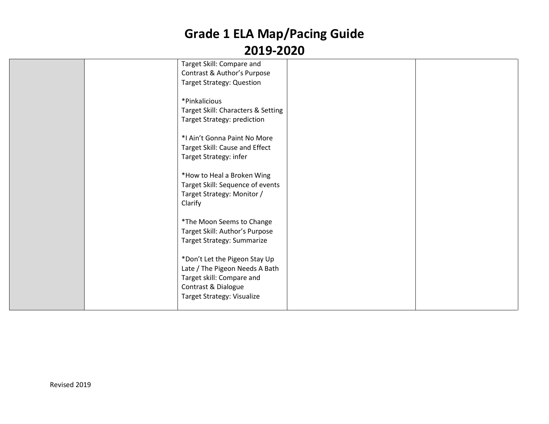|  | Target Skill: Compare and          |  |
|--|------------------------------------|--|
|  | Contrast & Author's Purpose        |  |
|  | <b>Target Strategy: Question</b>   |  |
|  |                                    |  |
|  | *Pinkalicious                      |  |
|  | Target Skill: Characters & Setting |  |
|  | Target Strategy: prediction        |  |
|  |                                    |  |
|  | *I Ain't Gonna Paint No More       |  |
|  | Target Skill: Cause and Effect     |  |
|  | Target Strategy: infer             |  |
|  |                                    |  |
|  | *How to Heal a Broken Wing         |  |
|  | Target Skill: Sequence of events   |  |
|  | Target Strategy: Monitor /         |  |
|  | Clarify                            |  |
|  |                                    |  |
|  | *The Moon Seems to Change          |  |
|  | Target Skill: Author's Purpose     |  |
|  | Target Strategy: Summarize         |  |
|  |                                    |  |
|  | *Don't Let the Pigeon Stay Up      |  |
|  | Late / The Pigeon Needs A Bath     |  |
|  | Target skill: Compare and          |  |
|  | Contrast & Dialogue                |  |
|  | Target Strategy: Visualize         |  |
|  |                                    |  |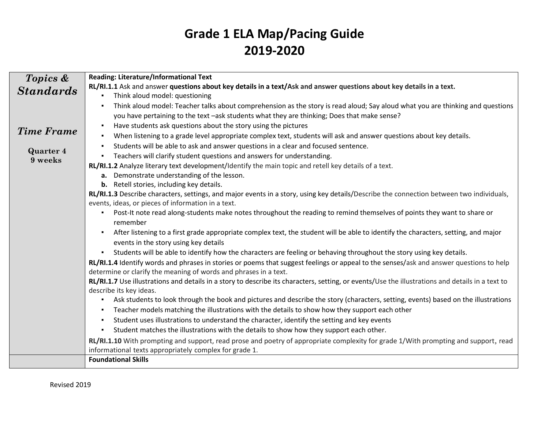| Topics &                    | <b>Reading: Literature/Informational Text</b>                                                                                                                               |
|-----------------------------|-----------------------------------------------------------------------------------------------------------------------------------------------------------------------------|
| <b>Standards</b>            | RL/RI.1.1 Ask and answer questions about key details in a text/Ask and answer questions about key details in a text.                                                        |
|                             | Think aloud model: questioning                                                                                                                                              |
|                             | Think aloud model: Teacher talks about comprehension as the story is read aloud; Say aloud what you are thinking and questions                                              |
|                             | you have pertaining to the text -ask students what they are thinking; Does that make sense?                                                                                 |
| <b>Time Frame</b>           | Have students ask questions about the story using the pictures<br>٠                                                                                                         |
|                             | When listening to a grade level appropriate complex text, students will ask and answer questions about key details.<br>٠                                                    |
|                             | Students will be able to ask and answer questions in a clear and focused sentence.<br>٠                                                                                     |
| <b>Quarter 4</b><br>9 weeks | Teachers will clarify student questions and answers for understanding.                                                                                                      |
|                             | RL/RI.1.2 Analyze literary text development/Identify the main topic and retell key details of a text.                                                                       |
|                             | Demonstrate understanding of the lesson.<br>а.                                                                                                                              |
|                             | <b>b.</b> Retell stories, including key details.                                                                                                                            |
|                             | RL/RI.1.3 Describe characters, settings, and major events in a story, using key details/Describe the connection between two individuals,                                    |
|                             | events, ideas, or pieces of information in a text.                                                                                                                          |
|                             | Post-It note read along-students make notes throughout the reading to remind themselves of points they want to share or                                                     |
|                             | remember                                                                                                                                                                    |
|                             | After listening to a first grade appropriate complex text, the student will be able to identify the characters, setting, and major<br>$\blacksquare$                        |
|                             | events in the story using key details                                                                                                                                       |
|                             | Students will be able to identify how the characters are feeling or behaving throughout the story using key details.<br>$\blacksquare$                                      |
|                             | RL/RI.1.4 Identify words and phrases in stories or poems that suggest feelings or appeal to the senses/ask and answer questions to help                                     |
|                             | determine or clarify the meaning of words and phrases in a text.                                                                                                            |
|                             | RL/RI.1.7 Use illustrations and details in a story to describe its characters, setting, or events/Use the illustrations and details in a text to<br>describe its key ideas. |
|                             | Ask students to look through the book and pictures and describe the story (characters, setting, events) based on the illustrations                                          |
|                             | Teacher models matching the illustrations with the details to show how they support each other<br>$\blacksquare$                                                            |
|                             | Student uses illustrations to understand the character, identify the setting and key events<br>٠                                                                            |
|                             | Student matches the illustrations with the details to show how they support each other.                                                                                     |
|                             | RL/RI.1.10 With prompting and support, read prose and poetry of appropriate complexity for grade 1/With prompting and support, read                                         |
|                             | informational texts appropriately complex for grade 1.                                                                                                                      |
|                             | <b>Foundational Skills</b>                                                                                                                                                  |
|                             |                                                                                                                                                                             |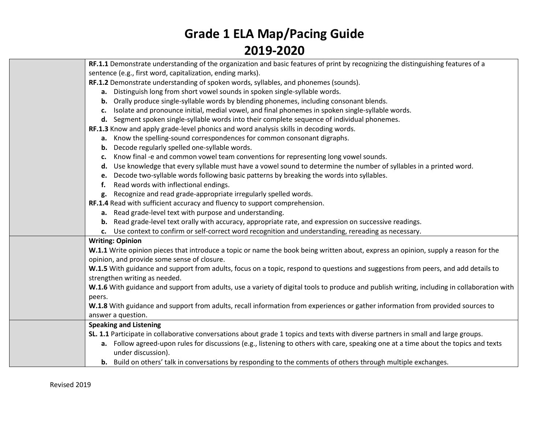| RF.1.1 Demonstrate understanding of the organization and basic features of print by recognizing the distinguishing features of a            |  |  |  |  |  |  |
|---------------------------------------------------------------------------------------------------------------------------------------------|--|--|--|--|--|--|
| sentence (e.g., first word, capitalization, ending marks).                                                                                  |  |  |  |  |  |  |
| RF.1.2 Demonstrate understanding of spoken words, syllables, and phonemes (sounds).                                                         |  |  |  |  |  |  |
| a. Distinguish long from short vowel sounds in spoken single-syllable words.                                                                |  |  |  |  |  |  |
| b. Orally produce single-syllable words by blending phonemes, including consonant blends.                                                   |  |  |  |  |  |  |
| c. Isolate and pronounce initial, medial vowel, and final phonemes in spoken single-syllable words.                                         |  |  |  |  |  |  |
| d. Segment spoken single-syllable words into their complete sequence of individual phonemes.                                                |  |  |  |  |  |  |
| RF.1.3 Know and apply grade-level phonics and word analysis skills in decoding words.                                                       |  |  |  |  |  |  |
| a. Know the spelling-sound correspondences for common consonant digraphs.                                                                   |  |  |  |  |  |  |
| <b>b.</b> Decode regularly spelled one-syllable words.                                                                                      |  |  |  |  |  |  |
| c. Know final -e and common vowel team conventions for representing long vowel sounds.                                                      |  |  |  |  |  |  |
| d. Use knowledge that every syllable must have a vowel sound to determine the number of syllables in a printed word.                        |  |  |  |  |  |  |
| e. Decode two-syllable words following basic patterns by breaking the words into syllables.                                                 |  |  |  |  |  |  |
| f. Read words with inflectional endings.                                                                                                    |  |  |  |  |  |  |
| g. Recognize and read grade-appropriate irregularly spelled words.                                                                          |  |  |  |  |  |  |
| RF.1.4 Read with sufficient accuracy and fluency to support comprehension.                                                                  |  |  |  |  |  |  |
| a. Read grade-level text with purpose and understanding.                                                                                    |  |  |  |  |  |  |
| b. Read grade-level text orally with accuracy, appropriate rate, and expression on successive readings.                                     |  |  |  |  |  |  |
| c. Use context to confirm or self-correct word recognition and understanding, rereading as necessary.                                       |  |  |  |  |  |  |
| <b>Writing: Opinion</b>                                                                                                                     |  |  |  |  |  |  |
| W.1.1 Write opinion pieces that introduce a topic or name the book being written about, express an opinion, supply a reason for the         |  |  |  |  |  |  |
| opinion, and provide some sense of closure.                                                                                                 |  |  |  |  |  |  |
| W.1.5 With guidance and support from adults, focus on a topic, respond to questions and suggestions from peers, and add details to          |  |  |  |  |  |  |
| strengthen writing as needed.                                                                                                               |  |  |  |  |  |  |
| W.1.6 With guidance and support from adults, use a variety of digital tools to produce and publish writing, including in collaboration with |  |  |  |  |  |  |
| peers.                                                                                                                                      |  |  |  |  |  |  |
| W.1.8 With guidance and support from adults, recall information from experiences or gather information from provided sources to             |  |  |  |  |  |  |
| answer a question.                                                                                                                          |  |  |  |  |  |  |
| <b>Speaking and Listening</b>                                                                                                               |  |  |  |  |  |  |
| SL. 1.1 Participate in collaborative conversations about grade 1 topics and texts with diverse partners in small and large groups.          |  |  |  |  |  |  |
| a. Follow agreed-upon rules for discussions (e.g., listening to others with care, speaking one at a time about the topics and texts         |  |  |  |  |  |  |
| under discussion).                                                                                                                          |  |  |  |  |  |  |
| <b>b.</b> Build on others' talk in conversations by responding to the comments of others through multiple exchanges.                        |  |  |  |  |  |  |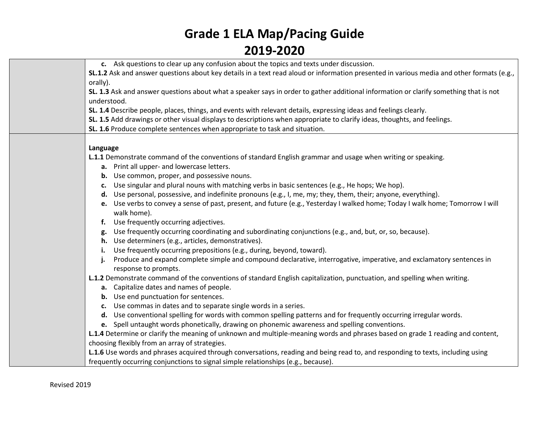| c. Ask questions to clear up any confusion about the topics and texts under discussion.                                                   |
|-------------------------------------------------------------------------------------------------------------------------------------------|
| SL.1.2 Ask and answer questions about key details in a text read aloud or information presented in various media and other formats (e.g., |
| orally).                                                                                                                                  |
| SL. 1.3 Ask and answer questions about what a speaker says in order to gather additional information or clarify something that is not     |
| understood.                                                                                                                               |
| SL. 1.4 Describe people, places, things, and events with relevant details, expressing ideas and feelings clearly.                         |
| SL. 1.5 Add drawings or other visual displays to descriptions when appropriate to clarify ideas, thoughts, and feelings.                  |
| SL. 1.6 Produce complete sentences when appropriate to task and situation.                                                                |
|                                                                                                                                           |
| Language                                                                                                                                  |
| L.1.1 Demonstrate command of the conventions of standard English grammar and usage when writing or speaking.                              |
| a. Print all upper- and lowercase letters.                                                                                                |
| <b>b.</b> Use common, proper, and possessive nouns.                                                                                       |
| Use singular and plural nouns with matching verbs in basic sentences (e.g., He hops; We hop).<br>c.                                       |
| Use personal, possessive, and indefinite pronouns (e.g., I, me, my; they, them, their; anyone, everything).<br>d.                         |
| Use verbs to convey a sense of past, present, and future (e.g., Yesterday I walked home; Today I walk home; Tomorrow I will<br>е.         |
| walk home).                                                                                                                               |
| Use frequently occurring adjectives.<br>f.                                                                                                |
| Use frequently occurring coordinating and subordinating conjunctions (e.g., and, but, or, so, because).<br>g.                             |
| Use determiners (e.g., articles, demonstratives).<br>h.                                                                                   |
| Use frequently occurring prepositions (e.g., during, beyond, toward).<br>i.                                                               |
| Produce and expand complete simple and compound declarative, interrogative, imperative, and exclamatory sentences in<br>j.                |
| response to prompts.                                                                                                                      |
| L.1.2 Demonstrate command of the conventions of standard English capitalization, punctuation, and spelling when writing.                  |
| a. Capitalize dates and names of people.                                                                                                  |
| <b>b.</b> Use end punctuation for sentences.                                                                                              |
| Use commas in dates and to separate single words in a series.<br>$c_{\cdot}$                                                              |
| d. Use conventional spelling for words with common spelling patterns and for frequently occurring irregular words.                        |
| Coolluntaught words phonotically drawing on phonomic awareness and spelling conventions.                                                  |

**e.** Spell untaught words phonetically, drawing on phonemic awareness and spelling conventions. **L.1.4** Determine or clarify the meaning of unknown and multiple-meaning words and phrases based on grade 1 reading and content, choosing flexibly from an array of strategies.

**L.1.6** Use words and phrases acquired through conversations, reading and being read to, and responding to texts, including using frequently occurring conjunctions to signal simple relationships (e.g., because).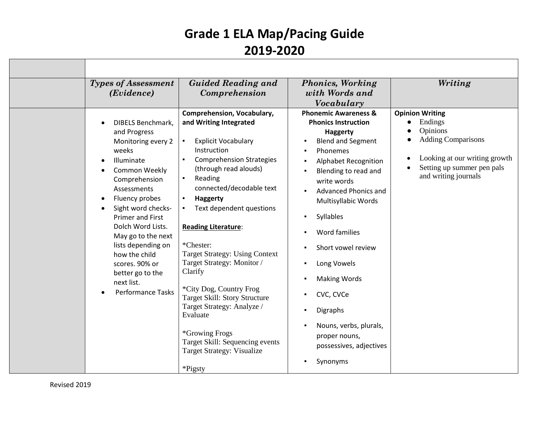|                                                               | <b>Types of Assessment</b><br>( <i>Evidence</i> )                                                                                                                                                                                                                                                                                                                    | <b>Guided Reading and</b><br>Comprehension                                                                                                                                                                                                                                                                                                                                                                                                                                                                                                                                                                                                               | <b>Phonics, Working</b><br>with Words and<br>Vocabulary                                                                                                                                                                                                                                                                                                                                                                                                                                                                           | Writing                                                                                                                                                           |
|---------------------------------------------------------------|----------------------------------------------------------------------------------------------------------------------------------------------------------------------------------------------------------------------------------------------------------------------------------------------------------------------------------------------------------------------|----------------------------------------------------------------------------------------------------------------------------------------------------------------------------------------------------------------------------------------------------------------------------------------------------------------------------------------------------------------------------------------------------------------------------------------------------------------------------------------------------------------------------------------------------------------------------------------------------------------------------------------------------------|-----------------------------------------------------------------------------------------------------------------------------------------------------------------------------------------------------------------------------------------------------------------------------------------------------------------------------------------------------------------------------------------------------------------------------------------------------------------------------------------------------------------------------------|-------------------------------------------------------------------------------------------------------------------------------------------------------------------|
| $\bullet$<br>$\bullet$<br>$\bullet$<br>$\bullet$<br>$\bullet$ | DIBELS Benchmark,<br>and Progress<br>Monitoring every 2<br>weeks<br>Illuminate<br>Common Weekly<br>Comprehension<br>Assessments<br>Fluency probes<br>Sight word checks-<br><b>Primer and First</b><br>Dolch Word Lists.<br>May go to the next<br>lists depending on<br>how the child<br>scores. 90% or<br>better go to the<br>next list.<br><b>Performance Tasks</b> | <b>Comprehension, Vocabulary,</b><br>and Writing Integrated<br><b>Explicit Vocabulary</b><br>$\blacksquare$<br>Instruction<br><b>Comprehension Strategies</b><br>(through read alouds)<br>Reading<br>$\blacksquare$<br>connected/decodable text<br><b>Haggerty</b><br>Text dependent questions<br>$\blacksquare$<br><b>Reading Literature:</b><br>*Chester:<br><b>Target Strategy: Using Context</b><br>Target Strategy: Monitor /<br>Clarify<br>*City Dog, Country Frog<br>Target Skill: Story Structure<br>Target Strategy: Analyze /<br>Evaluate<br>*Growing Frogs<br>Target Skill: Sequencing events<br><b>Target Strategy: Visualize</b><br>*Pigsty | <b>Phonemic Awareness &amp;</b><br><b>Phonics Instruction</b><br>Haggerty<br><b>Blend and Segment</b><br>Phonemes<br><b>Alphabet Recognition</b><br>Blending to read and<br>write words<br><b>Advanced Phonics and</b><br>Multisyllabic Words<br>Syllables<br>$\blacksquare$<br>Word families<br>Short vowel review<br>$\blacksquare$<br>Long Vowels<br>$\blacksquare$<br><b>Making Words</b><br>CVC, CVCe<br><b>Digraphs</b><br>$\blacksquare$<br>Nouns, verbs, plurals,<br>proper nouns,<br>possessives, adjectives<br>Synonyms | <b>Opinion Writing</b><br>Endings<br>Opinions<br><b>Adding Comparisons</b><br>Looking at our writing growth<br>Setting up summer pen pals<br>and writing journals |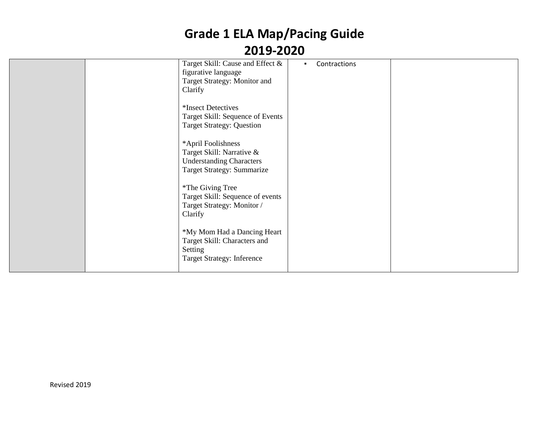|  | Target Skill: Cause and Effect &<br>figurative language<br>Target Strategy: Monitor and<br>Clarify                      | Contractions<br>٠. |  |
|--|-------------------------------------------------------------------------------------------------------------------------|--------------------|--|
|  | *Insect Detectives<br>Target Skill: Sequence of Events<br><b>Target Strategy: Question</b>                              |                    |  |
|  | *April Foolishness<br>Target Skill: Narrative &<br><b>Understanding Characters</b><br><b>Target Strategy: Summarize</b> |                    |  |
|  | *The Giving Tree<br>Target Skill: Sequence of events<br>Target Strategy: Monitor /<br>Clarify                           |                    |  |
|  | *My Mom Had a Dancing Heart<br>Target Skill: Characters and<br>Setting<br><b>Target Strategy: Inference</b>             |                    |  |